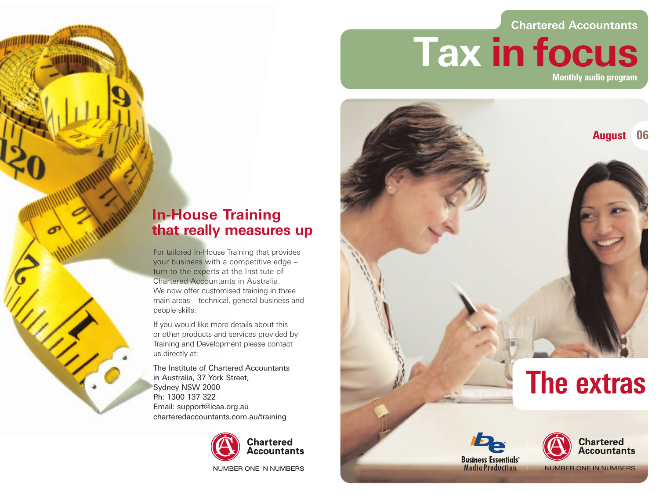## **Chartered Accountants**

**Tax in focus Monthly audio program**







**NUMBER ONE IN NUMBERS** 

## **In-House Training that really measures up**

For tailored In-House Training that provides your business with a competitive edge – turn to the experts at the Institute of Chartered Accountants in Australia. We now offer customised training in three main areas – technical, general business and people skills.

If you would like more details about this or other products and services provided by Training and Development please contact us directly at:

The Institute of Chartered Accountants in Australia, 37 York Street, Sydney NSW 2000 Ph: 1300 137 322 Email: support@icaa.org.au charteredaccountants.com.au/training



NUMBER ONE IN NUMBERS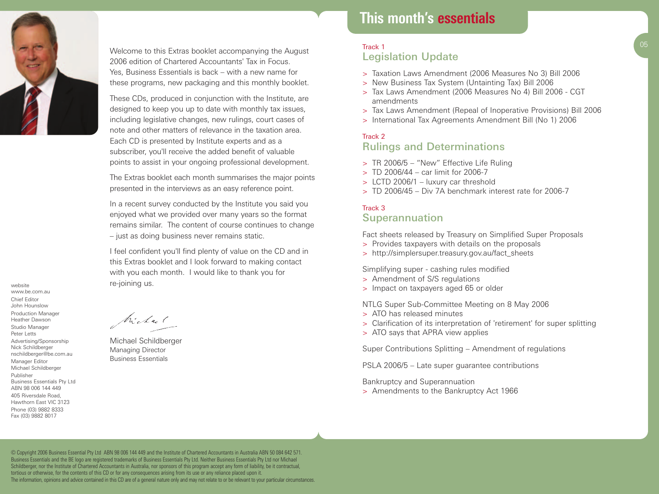

website www.be.com.au Chief Editor John Hounslow Production Manager Heather Dawson Studio Manager Peter Letts Advertising/Sponsorship Nick Schildberger nschildberger@be.com.au Manager Editor Michael Schildberger Publisher

Business Essentials Pty Ltd ABN 98 006 144 449 405 Riversdale Road, Hawthorn East VIC 3123 Phone (03) 9882 8333 Fax (03) 9882 8017

Welcome to this Extras booklet accompanying the August 2006 edition of Chartered Accountants' Tax in Focus. Yes, Business Essentials is back – with a new name for these programs, new packaging and this monthly booklet.

These CDs, produced in conjunction with the Institute, are designed to keep you up to date with monthly tax issues. including legislative changes, new rulings, court cases of note and other matters of relevance in the taxation area. Each CD is presented by Institute experts and as a subscriber, you'll receive the added benefit of valuable points to assist in your ongoing professional development.

The Extras booklet each month summarises the major points presented in the interviews as an easy reference point.

In a recent survey conducted by the Institute you said you enjoyed what we provided over many years so the format remains similar. The content of course continues to change – just as doing business never remains static.

I feel confident you'll find plenty of value on the CD and in this Extras booklet and I look forward to making contact with you each month. I would like to thank you for re-joining us.

Michael

Michael Schildberger Managing Director Business Essentials

# **This month's essentials**

## **This month's essentials** Track 1 Legislation Update

- > Taxation Laws Amendment (2006 Measures No 3) Bill 2006
- > New Business Tax System (Untainting Tax) Bill 2006
- > Tax Laws Amendment (2006 Measures No 4) Bill 2006 CGT amendments
- > Tax Laws Amendment (Repeal of Inoperative Provisions) Bill 2006
- > International Tax Agreements Amendment Bill (No 1) 2006

#### Track 2 Rulings and Determinations

- > TR 2006/5 "New" Effective Life Ruling
- $>$  TD 2006/44 car limit for 2006-7
- > LCTD 2006/1 luxury car threshold
- $>$  TD 2006/45 Div 7A benchmark interest rate for 2006-7

## Track 3 Superannuation

Fact sheets released by Treasury on Simplified Super Proposals

- > Provides taxpayers with details on the proposals
- > http://simplersuper.treasury.gov.au/fact\_sheets

Simplifying super - cashing rules modified

- > Amendment of S/S regulations
- > Impact on taxpayers aged 65 or older

NTLG Super Sub-Committee Meeting on 8 May 2006

- > ATO has released minutes
- > Clarification of its interpretation of 'retirement' for super splitting
- > ATO says that APRA view applies

Super Contributions Splitting – Amendment of regulations

PSLA 2006/5 – Late super guarantee contributions

Bankruptcy and Superannuation

> Amendments to the Bankruptcy Act 1966

© Copyright 2006 Business Essential Pty Ltd ABN 98 006 144 449 and the Institute of Chartered Accountants in Australia ABN 50 084 642 571. Business Essentials and the BE logo are registered trademarks of Business Essentials Pty Ltd. Neither Business Essentials Pty Ltd nor Michael Schildberger, nor the Institute of Chartered Accountants in Australia, nor sponsors of this program accept any form of liability, be it contractual, tortious or otherwise, for the contents of this CD or for any consequences arising from its use or any reliance placed upon it. The information, opinions and advice contained in this CD are of a general nature only and may not relate to or be relevant to your particular circumstances.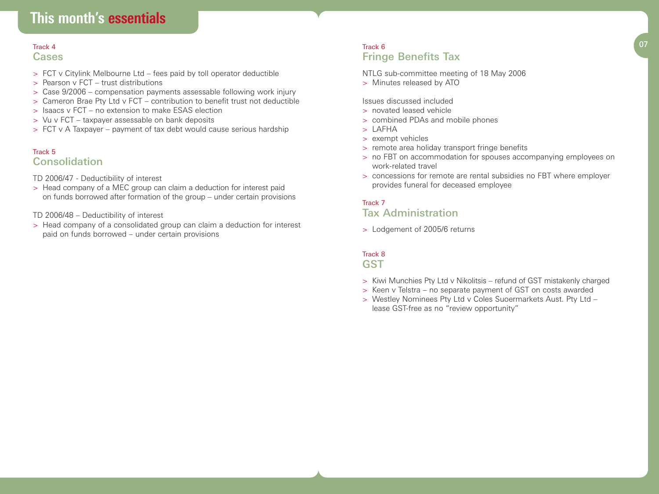# **This month's essentials**

# **Cases**

- > FCT v Citylink Melbourne Ltd fees paid by toll operator deductible
- > Pearson v FCT trust distributions
- > Case 9/2006 compensation payments assessable following work injury
- > Cameron Brae Pty Ltd v FCT contribution to benefit trust not deductible
- > Isaacs v FCT no extension to make ESAS election
- > Vu v FCT taxpayer assessable on bank deposits
- > FCT v A Taxpayer payment of tax debt would cause serious hardship

#### Track 5 Consolidation

TD 2006/47 - Deductibility of interest

> Head company of a MEC group can claim a deduction for interest paid on funds borrowed after formation of the group – under certain provisions

#### TD 2006/48 – Deductibility of interest

> Head company of a consolidated group can claim a deduction for interest paid on funds borrowed – under certain provisions

#### $\frac{1}{2}$  Track 4  $\frac{1}{2}$  Track 6  $\frac{1}{2}$  Track 6  $\frac{1}{2}$  Track 4  $\frac{1}{2}$  Track 4  $\frac{1}{2}$   $\frac{1}{2}$   $\frac{1}{2}$   $\frac{1}{2}$   $\frac{1}{2}$   $\frac{1}{2}$   $\frac{1}{2}$   $\frac{1}{2}$   $\frac{1}{2}$   $\frac{1}{2}$   $\frac{1}{2}$   $\frac{1}{2}$   $\frac{1}{2}$  Track 6 Fringe Benefits Tax

NTLG sub-committee meeting of 18 May 2006

> Minutes released by ATO

### Issues discussed included

- > novated leased vehicle
- > combined PDAs and mobile phones
- > LAFHA
- > exempt vehicles
- > remote area holiday transport fringe benefits
- > no FBT on accommodation for spouses accompanying employees on work-related travel
- > concessions for remote are rental subsidies no FBT where employer provides funeral for deceased employee

## Track 7 Tax Administration

> Lodgement of 2005/6 returns

#### Track 8 **GST**

- > Kiwi Munchies Pty Ltd v Nikolitsis refund of GST mistakenly charged
- > Keen v Telstra no separate payment of GST on costs awarded
- > Westley Nominees Pty Ltd v Coles Suoermarkets Aust. Pty Ltd lease GST-free as no "review opportunity"